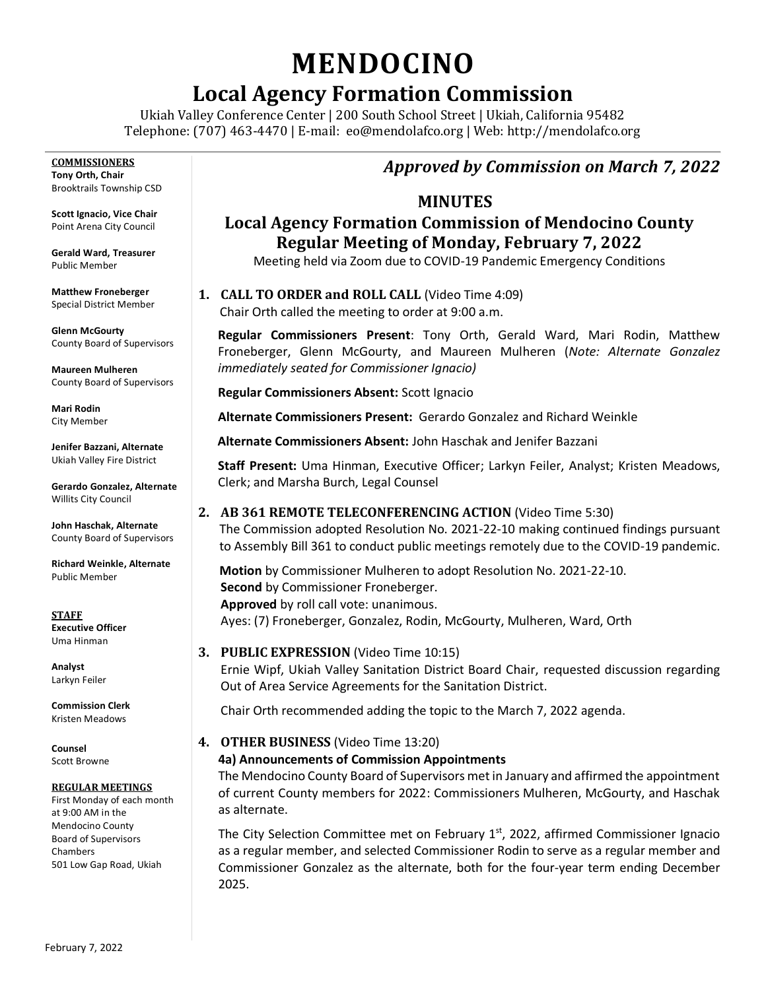# **MENDOCINO**

# **Local Agency Formation Commission**

Ukiah Valley Conference Center | 200 South School Street | Ukiah, California 95482 Telephone: (707) 463-4470 | E-mail: [eo@mendolafco.org](mailto:eo@mendolafco.org) | Web: http://mendolafco.org

**COMMISSIONERS Tony Orth, Chair** Brooktrails Township CSD

**Scott Ignacio, Vice Chair** Point Arena City Council

**Gerald Ward, Treasurer** Public Member

**Matthew Froneberger** Special District Member

**Glenn McGourty** County Board of Supervisors

**Maureen Mulheren** County Board of Supervisors

**Mari Rodin** City Member

**Jenifer Bazzani, Alternate** Ukiah Valley Fire District

**Gerardo Gonzalez, Alternate** Willits City Council

**John Haschak, Alternate** County Board of Supervisors

**Richard Weinkle, Alternate** Public Member

**STAFF Executive Officer** Uma Hinman

**Analyst** Larkyn Feiler

**Commission Clerk** Kristen Meadows

**Counsel** Scott Browne

#### **REGULAR MEETINGS**

First Monday of each month at 9:00 AM in the Mendocino County Board of Supervisors Chambers 501 Low Gap Road, Ukiah

## *Approved by Commission on March 7, 2022*

#### **MINUTES**

## **Local Agency Formation Commission of Mendocino County Regular Meeting of Monday, February 7, 2022**

Meeting held via Zoom due to COVID-19 Pandemic Emergency Conditions

**1. CALL TO ORDER and ROLL CALL** (Video Time 4:09) Chair Orth called the meeting to order at 9:00 a.m.

**Regular Commissioners Present**: Tony Orth, Gerald Ward, Mari Rodin, Matthew Froneberger, Glenn McGourty, and Maureen Mulheren (*Note: Alternate Gonzalez immediately seated for Commissioner Ignacio)*

**Regular Commissioners Absent:** Scott Ignacio

**Alternate Commissioners Present:** Gerardo Gonzalez and Richard Weinkle

**Alternate Commissioners Absent:** John Haschak and Jenifer Bazzani

**Staff Present:** Uma Hinman, Executive Officer; Larkyn Feiler, Analyst; Kristen Meadows, Clerk; and Marsha Burch, Legal Counsel

**2. AB 361 REMOTE TELECONFERENCING ACTION** (Video Time 5:30)

The Commission adopted Resolution No. 2021-22-10 making continued findings pursuant to Assembly Bill 361 to conduct public meetings remotely due to the COVID-19 pandemic.

**Motion** by Commissioner Mulheren to adopt Resolution No. 2021-22-10. **Second** by Commissioner Froneberger. **Approved** by roll call vote: unanimous.

Ayes: (7) Froneberger, Gonzalez, Rodin, McGourty, Mulheren, Ward, Orth

**3. PUBLIC EXPRESSION** (Video Time 10:15) Ernie Wipf, Ukiah Valley Sanitation District Board Chair, requested discussion regarding Out of Area Service Agreements for the Sanitation District.

Chair Orth recommended adding the topic to the March 7, 2022 agenda.

**4. OTHER BUSINESS** (Video Time 13:20)

#### **4a) Announcements of Commission Appointments**

The Mendocino County Board of Supervisors met in January and affirmed the appointment of current County members for 2022: Commissioners Mulheren, McGourty, and Haschak as alternate.

The City Selection Committee met on February  $1<sup>st</sup>$ , 2022, affirmed Commissioner Ignacio as a regular member, and selected Commissioner Rodin to serve as a regular member and Commissioner Gonzalez as the alternate, both for the four-year term ending December 2025.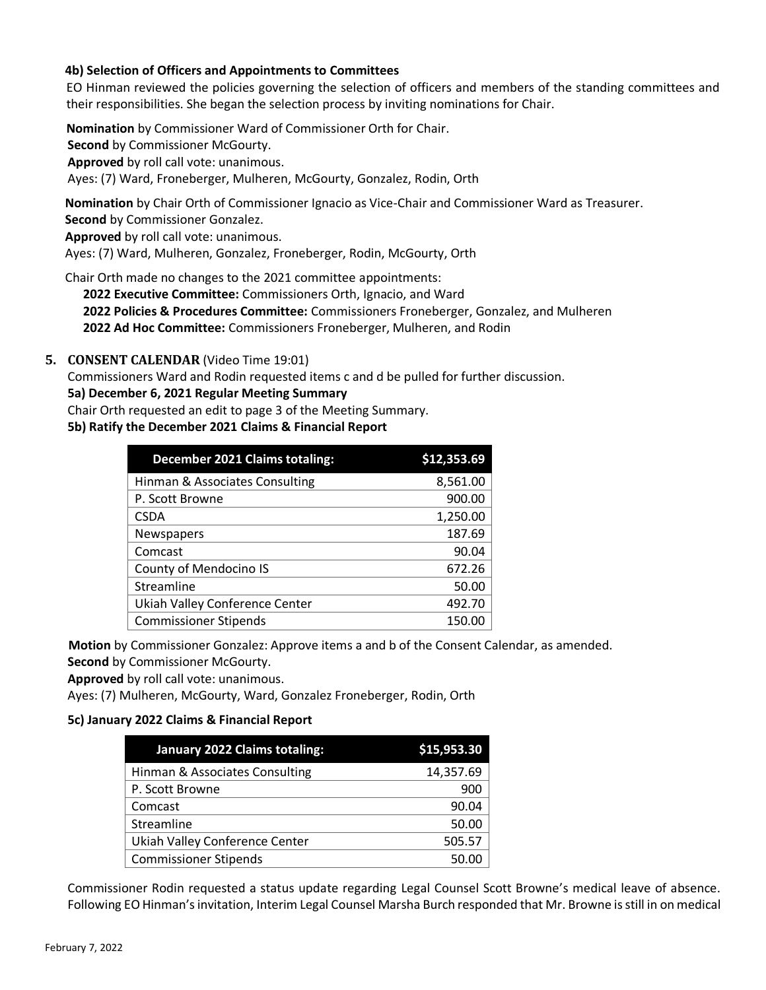#### **4b) Selection of Officers and Appointments to Committees**

EO Hinman reviewed the policies governing the selection of officers and members of the standing committees and their responsibilities. She began the selection process by inviting nominations for Chair.

**Nomination** by Commissioner Ward of Commissioner Orth for Chair.

**Second** by Commissioner McGourty.

**Approved** by roll call vote: unanimous.

Ayes: (7) Ward, Froneberger, Mulheren, McGourty, Gonzalez, Rodin, Orth

**Nomination** by Chair Orth of Commissioner Ignacio as Vice-Chair and Commissioner Ward as Treasurer. **Second** by Commissioner Gonzalez.

**Approved** by roll call vote: unanimous.

Ayes: (7) Ward, Mulheren, Gonzalez, Froneberger, Rodin, McGourty, Orth

Chair Orth made no changes to the 2021 committee appointments:

**2022 Executive Committee:** Commissioners Orth, Ignacio, and Ward **2022 Policies & Procedures Committee:** Commissioners Froneberger, Gonzalez, and Mulheren **2022 Ad Hoc Committee:** Commissioners Froneberger, Mulheren, and Rodin

#### **5. CONSENT CALENDAR** (Video Time 19:01)

Commissioners Ward and Rodin requested items c and d be pulled for further discussion.

#### **5a) December 6, 2021 Regular Meeting Summary**

Chair Orth requested an edit to page 3 of the Meeting Summary.

#### **5b) Ratify the December 2021 Claims & Financial Report**

| <b>December 2021 Claims totaling:</b> | \$12,353.69 |
|---------------------------------------|-------------|
| Hinman & Associates Consulting        | 8,561.00    |
| P. Scott Browne                       | 900.00      |
| <b>CSDA</b>                           | 1,250.00    |
| Newspapers                            | 187.69      |
| Comcast                               | 90.04       |
| County of Mendocino IS                | 672.26      |
| Streamline                            | 50.00       |
| Ukiah Valley Conference Center        | 492.70      |
| <b>Commissioner Stipends</b>          | 150.00      |

**Motion** by Commissioner Gonzalez: Approve items a and b of the Consent Calendar, as amended.

**Second** by Commissioner McGourty.

**Approved** by roll call vote: unanimous.

Ayes: (7) Mulheren, McGourty, Ward, Gonzalez Froneberger, Rodin, Orth

#### **5c) January 2022 Claims & Financial Report**

| January 2022 Claims totaling:  | \$15,953.30 |
|--------------------------------|-------------|
| Hinman & Associates Consulting | 14,357.69   |
| P. Scott Browne                | 900         |
| Comcast                        | 90.04       |
| Streamline                     | 50.00       |
| Ukiah Valley Conference Center | 505.57      |
| <b>Commissioner Stipends</b>   | 50.00       |

Commissioner Rodin requested a status update regarding Legal Counsel Scott Browne's medical leave of absence. Following EO Hinman'sinvitation, Interim Legal Counsel Marsha Burch responded that Mr. Browne is still in on medical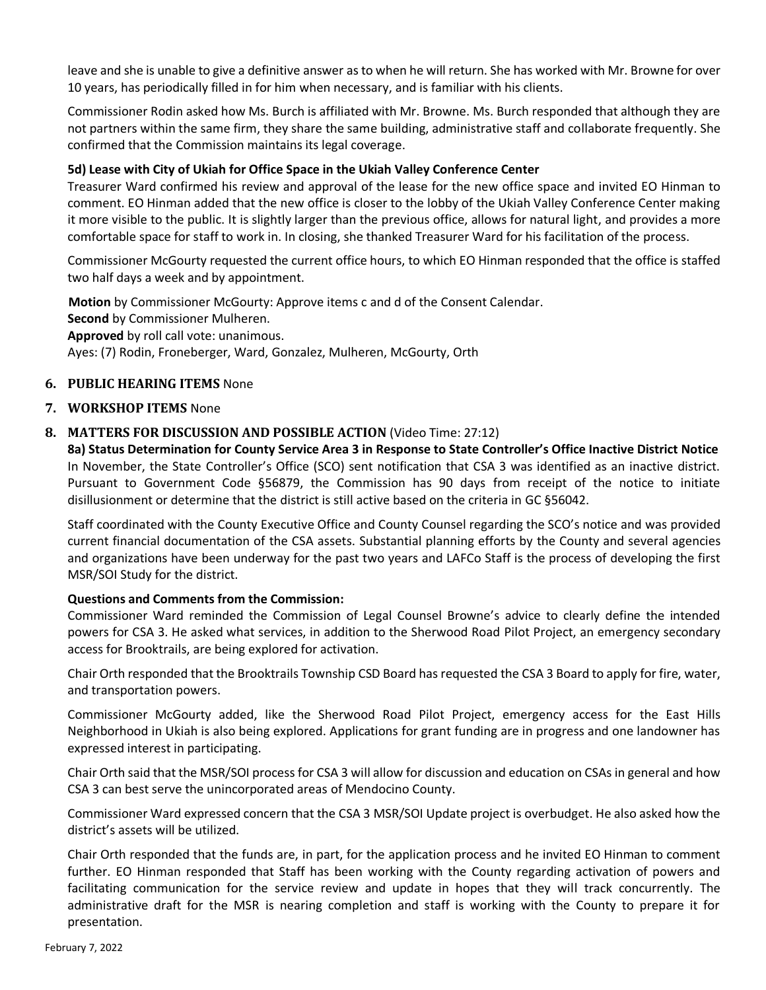leave and she is unable to give a definitive answer as to when he will return. She has worked with Mr. Browne for over 10 years, has periodically filled in for him when necessary, and is familiar with his clients.

Commissioner Rodin asked how Ms. Burch is affiliated with Mr. Browne. Ms. Burch responded that although they are not partners within the same firm, they share the same building, administrative staff and collaborate frequently. She confirmed that the Commission maintains its legal coverage.

#### **5d) Lease with City of Ukiah for Office Space in the Ukiah Valley Conference Center**

Treasurer Ward confirmed his review and approval of the lease for the new office space and invited EO Hinman to comment. EO Hinman added that the new office is closer to the lobby of the Ukiah Valley Conference Center making it more visible to the public. It is slightly larger than the previous office, allows for natural light, and provides a more comfortable space for staff to work in. In closing, she thanked Treasurer Ward for his facilitation of the process.

Commissioner McGourty requested the current office hours, to which EO Hinman responded that the office is staffed two half days a week and by appointment.

**Motion** by Commissioner McGourty: Approve items c and d of the Consent Calendar. **Second** by Commissioner Mulheren. **Approved** by roll call vote: unanimous. Ayes: (7) Rodin, Froneberger, Ward, Gonzalez, Mulheren, McGourty, Orth

#### **6. PUBLIC HEARING ITEMS** None

#### **7. WORKSHOP ITEMS** None

#### **8. MATTERS FOR DISCUSSION AND POSSIBLE ACTION** (Video Time: 27:12)

**8a) Status Determination for County Service Area 3 in Response to State Controller's Office Inactive District Notice** In November, the State Controller's Office (SCO) sent notification that CSA 3 was identified as an inactive district. Pursuant to Government Code §56879, the Commission has 90 days from receipt of the notice to initiate disillusionment or determine that the district is still active based on the criteria in GC §56042.

Staff coordinated with the County Executive Office and County Counsel regarding the SCO's notice and was provided current financial documentation of the CSA assets. Substantial planning efforts by the County and several agencies and organizations have been underway for the past two years and LAFCo Staff is the process of developing the first MSR/SOI Study for the district.

#### **Questions and Comments from the Commission:**

Commissioner Ward reminded the Commission of Legal Counsel Browne's advice to clearly define the intended powers for CSA 3. He asked what services, in addition to the Sherwood Road Pilot Project, an emergency secondary access for Brooktrails, are being explored for activation.

Chair Orth responded that the Brooktrails Township CSD Board has requested the CSA 3 Board to apply for fire, water, and transportation powers.

Commissioner McGourty added, like the Sherwood Road Pilot Project, emergency access for the East Hills Neighborhood in Ukiah is also being explored. Applications for grant funding are in progress and one landowner has expressed interest in participating.

Chair Orth said that the MSR/SOI process for CSA 3 will allow for discussion and education on CSAs in general and how CSA 3 can best serve the unincorporated areas of Mendocino County.

Commissioner Ward expressed concern that the CSA 3 MSR/SOI Update project is overbudget. He also asked how the district's assets will be utilized.

Chair Orth responded that the funds are, in part, for the application process and he invited EO Hinman to comment further. EO Hinman responded that Staff has been working with the County regarding activation of powers and facilitating communication for the service review and update in hopes that they will track concurrently. The administrative draft for the MSR is nearing completion and staff is working with the County to prepare it for presentation.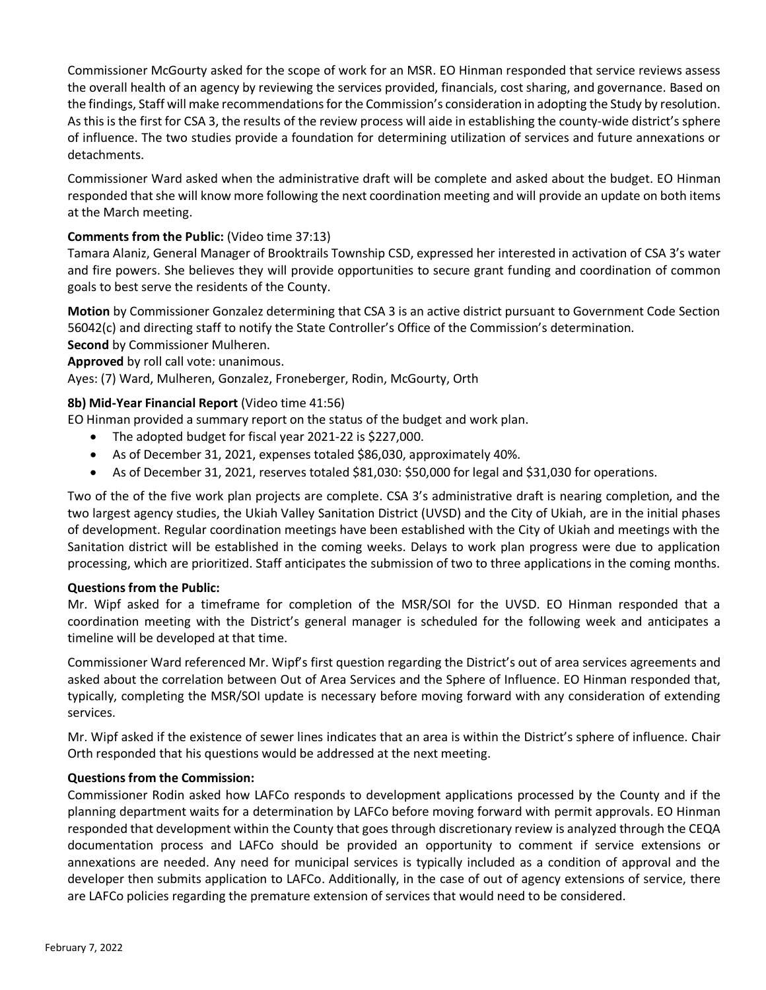Commissioner McGourty asked for the scope of work for an MSR. EO Hinman responded that service reviews assess the overall health of an agency by reviewing the services provided, financials, cost sharing, and governance. Based on the findings, Staff will make recommendations for the Commission's consideration in adopting the Study by resolution. As this is the first for CSA 3, the results of the review process will aide in establishing the county-wide district's sphere of influence. The two studies provide a foundation for determining utilization of services and future annexations or detachments.

Commissioner Ward asked when the administrative draft will be complete and asked about the budget. EO Hinman responded that she will know more following the next coordination meeting and will provide an update on both items at the March meeting.

#### **Comments from the Public:** (Video time 37:13)

Tamara Alaniz, General Manager of Brooktrails Township CSD, expressed her interested in activation of CSA 3's water and fire powers. She believes they will provide opportunities to secure grant funding and coordination of common goals to best serve the residents of the County.

**Motion** by Commissioner Gonzalez determining that CSA 3 is an active district pursuant to Government Code Section 56042(c) and directing staff to notify the State Controller's Office of the Commission's determination. **Second** by Commissioner Mulheren.

**Approved** by roll call vote: unanimous.

Ayes: (7) Ward, Mulheren, Gonzalez, Froneberger, Rodin, McGourty, Orth

#### **8b) Mid-Year Financial Report** (Video time 41:56)

EO Hinman provided a summary report on the status of the budget and work plan.

- The adopted budget for fiscal year 2021-22 is \$227,000.
- As of December 31, 2021, expenses totaled \$86,030, approximately 40%.
- As of December 31, 2021, reserves totaled \$81,030: \$50,000 for legal and \$31,030 for operations.

Two of the of the five work plan projects are complete. CSA 3's administrative draft is nearing completion, and the two largest agency studies, the Ukiah Valley Sanitation District (UVSD) and the City of Ukiah, are in the initial phases of development. Regular coordination meetings have been established with the City of Ukiah and meetings with the Sanitation district will be established in the coming weeks. Delays to work plan progress were due to application processing, which are prioritized. Staff anticipates the submission of two to three applications in the coming months.

#### **Questions from the Public:**

Mr. Wipf asked for a timeframe for completion of the MSR/SOI for the UVSD. EO Hinman responded that a coordination meeting with the District's general manager is scheduled for the following week and anticipates a timeline will be developed at that time.

Commissioner Ward referenced Mr. Wipf's first question regarding the District's out of area services agreements and asked about the correlation between Out of Area Services and the Sphere of Influence. EO Hinman responded that, typically, completing the MSR/SOI update is necessary before moving forward with any consideration of extending services.

Mr. Wipf asked if the existence of sewer lines indicates that an area is within the District's sphere of influence. Chair Orth responded that his questions would be addressed at the next meeting.

#### **Questions from the Commission:**

Commissioner Rodin asked how LAFCo responds to development applications processed by the County and if the planning department waits for a determination by LAFCo before moving forward with permit approvals. EO Hinman responded that development within the County that goes through discretionary review is analyzed through the CEQA documentation process and LAFCo should be provided an opportunity to comment if service extensions or annexations are needed. Any need for municipal services is typically included as a condition of approval and the developer then submits application to LAFCo. Additionally, in the case of out of agency extensions of service, there are LAFCo policies regarding the premature extension of services that would need to be considered.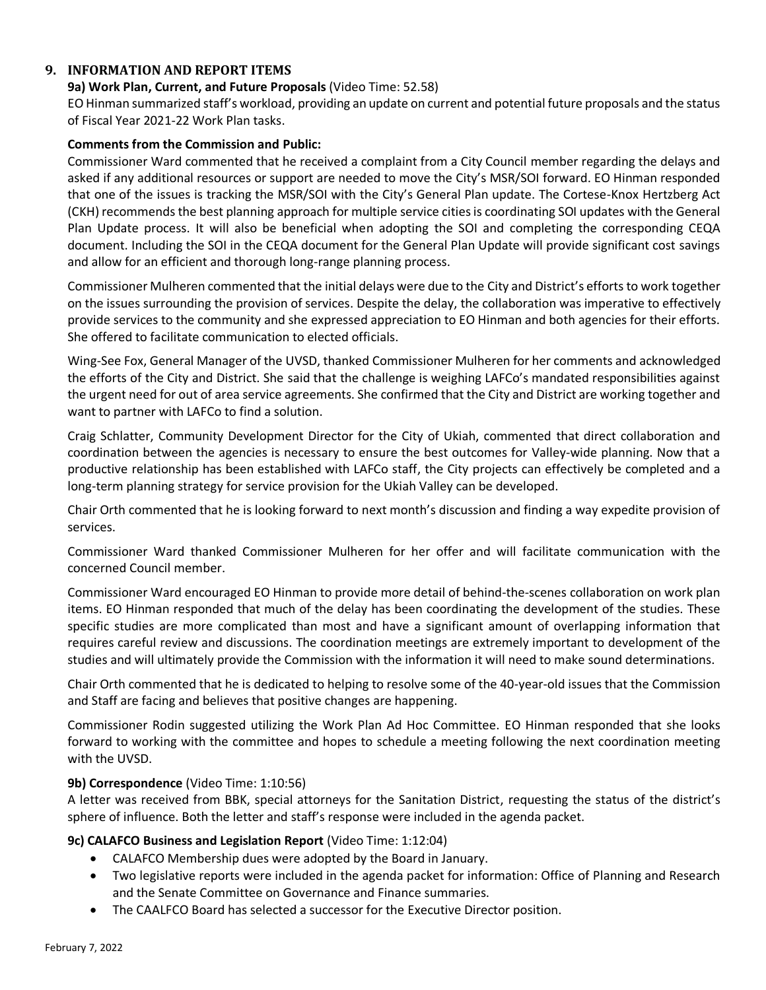#### **9. INFORMATION AND REPORT ITEMS**

#### **9a) Work Plan, Current, and Future Proposals** (Video Time: 52.58)

EO Hinman summarized staff's workload, providing an update on current and potential future proposals and the status of Fiscal Year 2021-22 Work Plan tasks.

#### **Comments from the Commission and Public:**

Commissioner Ward commented that he received a complaint from a City Council member regarding the delays and asked if any additional resources or support are needed to move the City's MSR/SOI forward. EO Hinman responded that one of the issues is tracking the MSR/SOI with the City's General Plan update. The Cortese-Knox Hertzberg Act (CKH) recommends the best planning approach for multiple service cities is coordinating SOI updates with the General Plan Update process. It will also be beneficial when adopting the SOI and completing the corresponding CEQA document. Including the SOI in the CEQA document for the General Plan Update will provide significant cost savings and allow for an efficient and thorough long-range planning process.

Commissioner Mulheren commented that the initial delays were due to the City and District's efforts to work together on the issues surrounding the provision of services. Despite the delay, the collaboration was imperative to effectively provide services to the community and she expressed appreciation to EO Hinman and both agencies for their efforts. She offered to facilitate communication to elected officials.

Wing-See Fox, General Manager of the UVSD, thanked Commissioner Mulheren for her comments and acknowledged the efforts of the City and District. She said that the challenge is weighing LAFCo's mandated responsibilities against the urgent need for out of area service agreements. She confirmed that the City and District are working together and want to partner with LAFCo to find a solution.

Craig Schlatter, Community Development Director for the City of Ukiah, commented that direct collaboration and coordination between the agencies is necessary to ensure the best outcomes for Valley-wide planning. Now that a productive relationship has been established with LAFCo staff, the City projects can effectively be completed and a long-term planning strategy for service provision for the Ukiah Valley can be developed.

Chair Orth commented that he is looking forward to next month's discussion and finding a way expedite provision of services.

Commissioner Ward thanked Commissioner Mulheren for her offer and will facilitate communication with the concerned Council member.

Commissioner Ward encouraged EO Hinman to provide more detail of behind-the-scenes collaboration on work plan items. EO Hinman responded that much of the delay has been coordinating the development of the studies. These specific studies are more complicated than most and have a significant amount of overlapping information that requires careful review and discussions. The coordination meetings are extremely important to development of the studies and will ultimately provide the Commission with the information it will need to make sound determinations.

Chair Orth commented that he is dedicated to helping to resolve some of the 40-year-old issues that the Commission and Staff are facing and believes that positive changes are happening.

Commissioner Rodin suggested utilizing the Work Plan Ad Hoc Committee. EO Hinman responded that she looks forward to working with the committee and hopes to schedule a meeting following the next coordination meeting with the UVSD.

#### **9b) Correspondence** (Video Time: 1:10:56)

A letter was received from BBK, special attorneys for the Sanitation District, requesting the status of the district's sphere of influence. Both the letter and staff's response were included in the agenda packet.

#### **9c) CALAFCO Business and Legislation Report** (Video Time: 1:12:04)

- CALAFCO Membership dues were adopted by the Board in January.
- Two legislative reports were included in the agenda packet for information: Office of Planning and Research and the Senate Committee on Governance and Finance summaries.
- The CAALFCO Board has selected a successor for the Executive Director position.